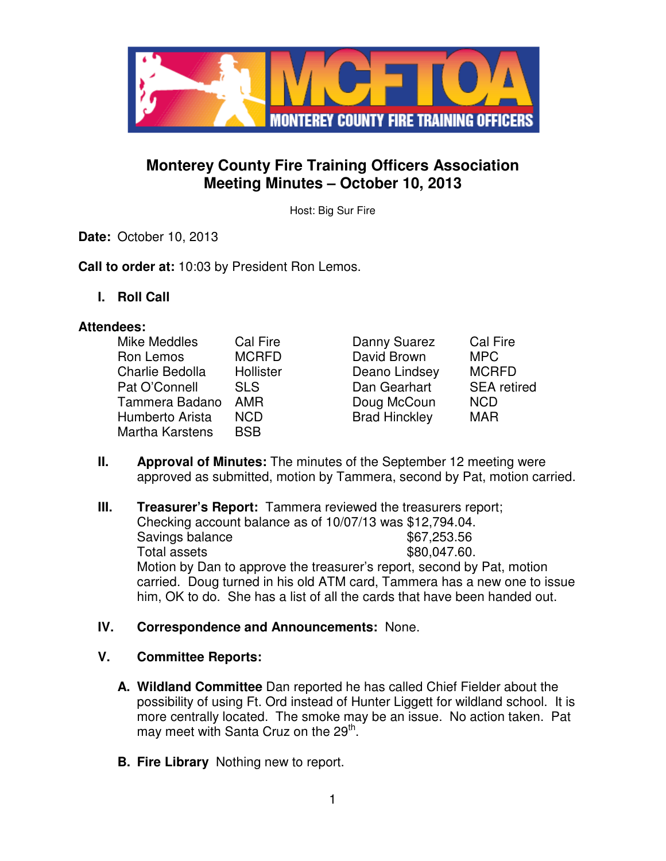

# **Monterey County Fire Training Officers Association Meeting Minutes – October 10, 2013**

Host: Big Sur Fire

**Date:** October 10, 2013

**Call to order at:** 10:03 by President Ron Lemos.

**I. Roll Call** 

#### **Attendees:**

| Mike Meddles    | Cal Fire     |
|-----------------|--------------|
| Ron Lemos       | <b>MCRFD</b> |
| Charlie Bedolla | Hollister    |
| Pat O'Connell   | <b>SLS</b>   |
| Tammera Badano  | AMR          |
| Humberto Arista | NCD          |
| Martha Karstens | BSB          |

- Danny Suarez Cal Fire David Brown MPC Deano Lindsey MCRFD Dan Gearhart SEA retired Doug McCoun NCD Brad Hinckley MAR
- 
- **II. Approval of Minutes:** The minutes of the September 12 meeting were approved as submitted, motion by Tammera, second by Pat, motion carried.
- **III.** Treasurer's Report: Tammera reviewed the treasurers report; Checking account balance as of 10/07/13 was \$12,794.04. Savings balance \$67,253.56 Total assets  $$80,047.60$ . Motion by Dan to approve the treasurer's report, second by Pat, motion carried. Doug turned in his old ATM card, Tammera has a new one to issue him, OK to do. She has a list of all the cards that have been handed out.

# **IV. Correspondence and Announcements:** None.

#### **V. Committee Reports:**

- **A. Wildland Committee** Dan reported he has called Chief Fielder about the possibility of using Ft. Ord instead of Hunter Liggett for wildland school. It is more centrally located. The smoke may be an issue. No action taken. Pat may meet with Santa Cruz on the 29<sup>th</sup>.
- **B. Fire Library** Nothing new to report.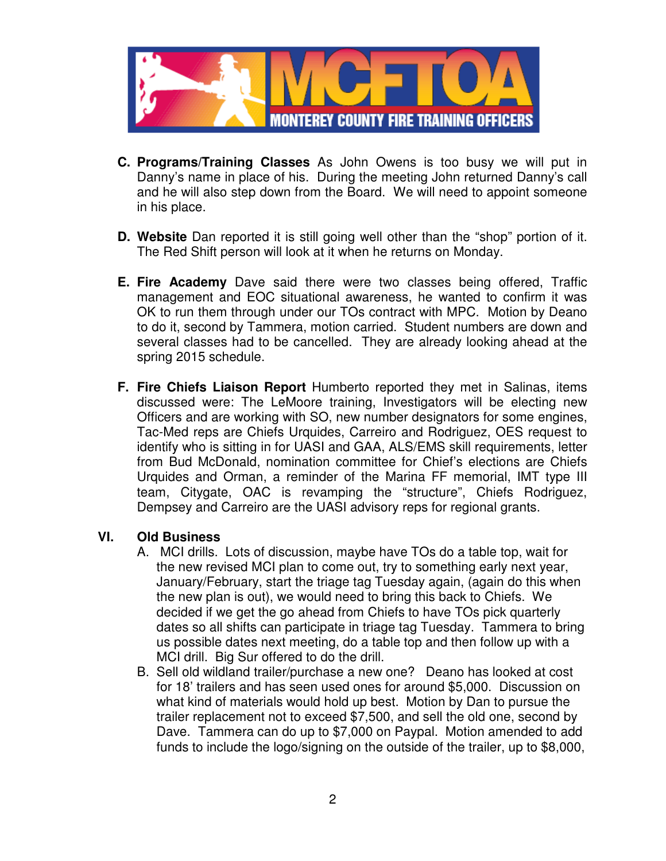

- **C. Programs/Training Classes** As John Owens is too busy we will put in Danny's name in place of his. During the meeting John returned Danny's call and he will also step down from the Board. We will need to appoint someone in his place.
- **D. Website** Dan reported it is still going well other than the "shop" portion of it. The Red Shift person will look at it when he returns on Monday.
- **E. Fire Academy** Dave said there were two classes being offered, Traffic management and EOC situational awareness, he wanted to confirm it was OK to run them through under our TOs contract with MPC. Motion by Deano to do it, second by Tammera, motion carried. Student numbers are down and several classes had to be cancelled. They are already looking ahead at the spring 2015 schedule.
- **F. Fire Chiefs Liaison Report** Humberto reported they met in Salinas, items discussed were: The LeMoore training, Investigators will be electing new Officers and are working with SO, new number designators for some engines, Tac-Med reps are Chiefs Urquides, Carreiro and Rodriguez, OES request to identify who is sitting in for UASI and GAA, ALS/EMS skill requirements, letter from Bud McDonald, nomination committee for Chief's elections are Chiefs Urquides and Orman, a reminder of the Marina FF memorial, IMT type III team, Citygate, OAC is revamping the "structure", Chiefs Rodriguez, Dempsey and Carreiro are the UASI advisory reps for regional grants.

#### **VI. Old Business**

- A. MCI drills. Lots of discussion, maybe have TOs do a table top, wait for the new revised MCI plan to come out, try to something early next year, January/February, start the triage tag Tuesday again, (again do this when the new plan is out), we would need to bring this back to Chiefs. We decided if we get the go ahead from Chiefs to have TOs pick quarterly dates so all shifts can participate in triage tag Tuesday. Tammera to bring us possible dates next meeting, do a table top and then follow up with a MCI drill. Big Sur offered to do the drill.
- B. Sell old wildland trailer/purchase a new one? Deano has looked at cost for 18' trailers and has seen used ones for around \$5,000. Discussion on what kind of materials would hold up best. Motion by Dan to pursue the trailer replacement not to exceed \$7,500, and sell the old one, second by Dave. Tammera can do up to \$7,000 on Paypal. Motion amended to add funds to include the logo/signing on the outside of the trailer, up to \$8,000,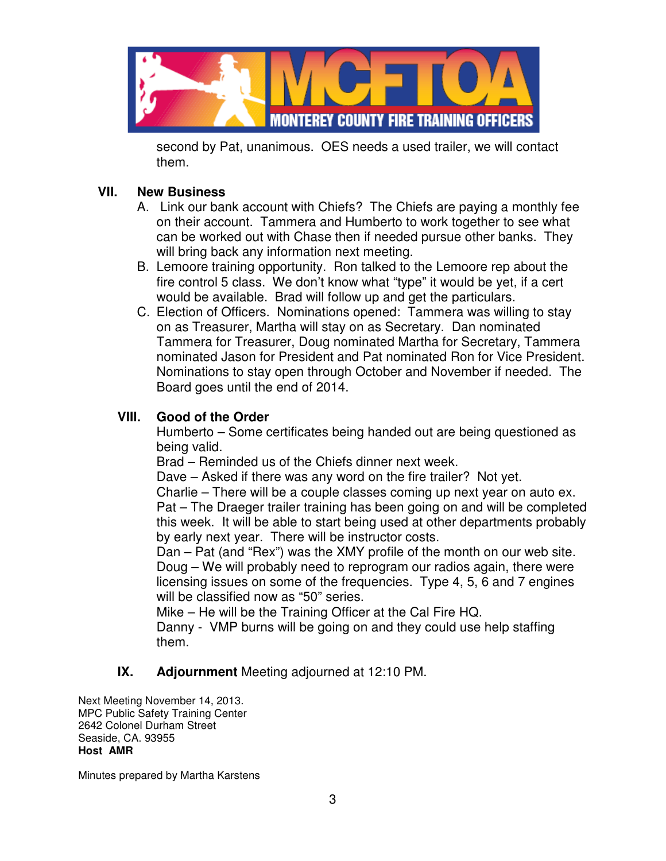

second by Pat, unanimous. OES needs a used trailer, we will contact them.

# **VII. New Business**

- A. Link our bank account with Chiefs? The Chiefs are paying a monthly fee on their account. Tammera and Humberto to work together to see what can be worked out with Chase then if needed pursue other banks. They will bring back any information next meeting.
- B. Lemoore training opportunity. Ron talked to the Lemoore rep about the fire control 5 class. We don't know what "type" it would be yet, if a cert would be available. Brad will follow up and get the particulars.
- C. Election of Officers. Nominations opened: Tammera was willing to stay on as Treasurer, Martha will stay on as Secretary. Dan nominated Tammera for Treasurer, Doug nominated Martha for Secretary, Tammera nominated Jason for President and Pat nominated Ron for Vice President. Nominations to stay open through October and November if needed. The Board goes until the end of 2014.

#### **VIII. Good of the Order**

Humberto – Some certificates being handed out are being questioned as being valid.

Brad – Reminded us of the Chiefs dinner next week.

Dave – Asked if there was any word on the fire trailer? Not yet.

Charlie – There will be a couple classes coming up next year on auto ex. Pat – The Draeger trailer training has been going on and will be completed this week. It will be able to start being used at other departments probably by early next year. There will be instructor costs.

Dan – Pat (and "Rex") was the XMY profile of the month on our web site. Doug – We will probably need to reprogram our radios again, there were licensing issues on some of the frequencies. Type 4, 5, 6 and 7 engines will be classified now as "50" series.

Mike – He will be the Training Officer at the Cal Fire HQ.

Danny - VMP burns will be going on and they could use help staffing them.

# **IX. Adjournment** Meeting adjourned at 12:10 PM.

Next Meeting November 14, 2013. MPC Public Safety Training Center 2642 Colonel Durham Street Seaside, CA. 93955 **Host AMR** 

Minutes prepared by Martha Karstens